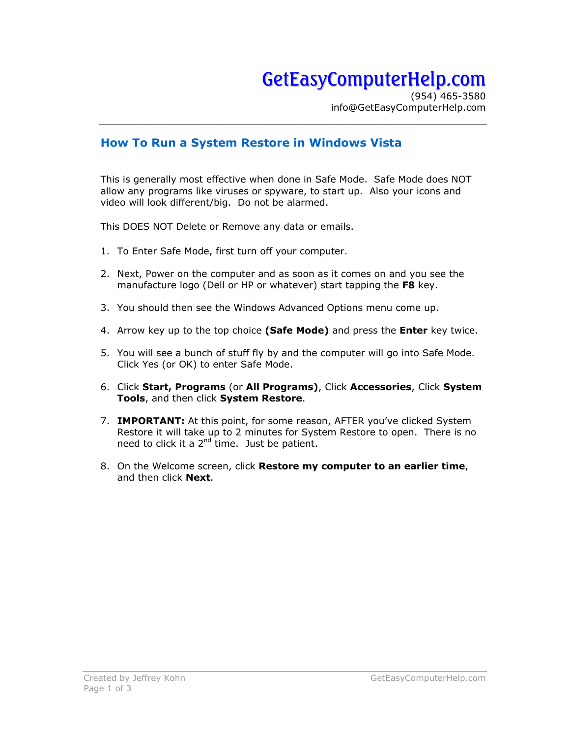## GetEasyComputerHelp.com

(954) 465-3580 info@GetEasyComputerHelp.com

## **How To Run a System Restore in Windows Vista**

This is generally most effective when done in Safe Mode. Safe Mode does NOT allow any programs like viruses or spyware, to start up. Also your icons and video will look different/big. Do not be alarmed.

This DOES NOT Delete or Remove any data or emails.

- 1. To Enter Safe Mode, first turn off your computer.
- 2. Next, Power on the computer and as soon as it comes on and you see the manufacture logo (Dell or HP or whatever) start tapping the **F8** key.
- 3. You should then see the Windows Advanced Options menu come up.
- 4. Arrow key up to the top choice **(Safe Mode)** and press the **Enter** key twice.
- 5. You will see a bunch of stuff fly by and the computer will go into Safe Mode. Click Yes (or OK) to enter Safe Mode.
- 6. Click **Start, Programs** (or **All Programs)**, Click **Accessories**, Click **System Tools**, and then click **System Restore**.
- 7. **IMPORTANT:** At this point, for some reason, AFTER you've clicked System Restore it will take up to 2 minutes for System Restore to open. There is no need to click it a  $2^{nd}$  time. Just be patient.
- 8. On the Welcome screen, click **Restore my computer to an earlier time**, and then click **Next**.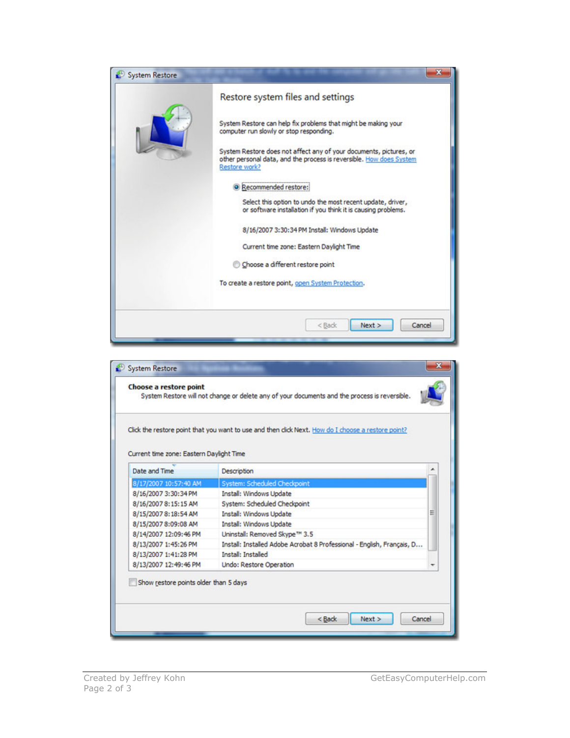| System Restore |                                                                                                                                                            |
|----------------|------------------------------------------------------------------------------------------------------------------------------------------------------------|
|                | Restore system files and settings                                                                                                                          |
|                | System Restore can help fix problems that might be making your<br>computer run slowly or stop responding.                                                  |
|                | System Restore does not affect any of your documents, pictures, or<br>other personal data, and the process is reversible. How does System<br>Restore work? |
|                | <sup>O</sup> Recommended restore:                                                                                                                          |
|                | Select this option to undo the most recent update, driver,<br>or software installation if you think it is causing problems.                                |
|                | 8/16/2007 3:30:34 PM Install: Windows Update                                                                                                               |
|                | Current time zone: Eastern Daylight Time                                                                                                                   |
|                | Choose a different restore point                                                                                                                           |
|                | To create a restore point, open System Protection.                                                                                                         |
|                |                                                                                                                                                            |
|                | < Back<br>Next<br>Cancel                                                                                                                                   |

|                                          | Click the restore point that you want to use and then click Next. How do I choose a restore point? |   |
|------------------------------------------|----------------------------------------------------------------------------------------------------|---|
| Current time zone: Eastern Daylight Time |                                                                                                    |   |
| Date and Time                            | <b>Description</b>                                                                                 |   |
| 8/17/2007 10:57:40 AM                    | <b>System: Scheduled Checkpoint</b>                                                                |   |
| 8/16/2007 3:30:34 PM                     | Install: Windows Update                                                                            |   |
| 8/16/2007 8:15:15 AM                     | System: Scheduled Checkpoint                                                                       |   |
| 8/15/2007 8:18:54 AM                     | Install: Windows Update                                                                            | E |
| 8/15/2007 8:09:08 AM                     | Install: Windows Update                                                                            |   |
| 8/14/2007 12:09:46 PM                    | Uninstall: Removed Skype™ 3.5                                                                      |   |
| 8/13/2007 1:45:26 PM                     | Install: Installed Adobe Acrobat 8 Professional - English, Français, D                             |   |
| 8/13/2007 1:41:28 PM                     | <b>Install: Installed</b>                                                                          |   |
| 8/13/2007 12:49:46 PM                    | <b>Undo: Restore Operation</b>                                                                     |   |
| Show restore points older than 5 days    |                                                                                                    |   |